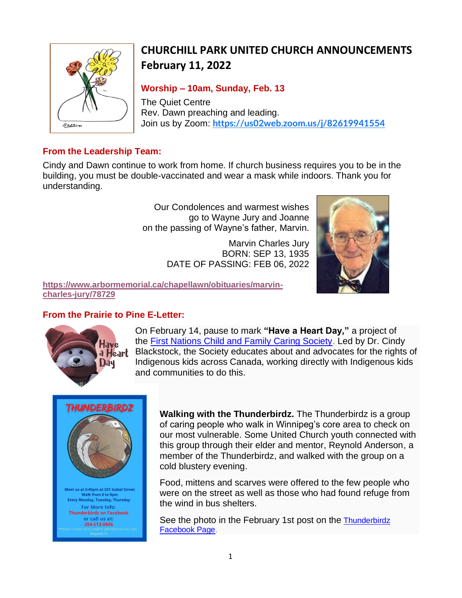

# **CHURCHILL PARK UNITED CHURCH ANNOUNCEMENTS February 11, 2022**

### **Worship – 10am, Sunday, Feb. 13**

The Quiet Centre Rev. Dawn preaching and leading. Join us by Zoom: **<https://us02web.zoom.us/j/82619941554>**

#### **From the Leadership Team:**

Cindy and Dawn continue to work from home. If church business requires you to be in the building, you must be double-vaccinated and wear a mask while indoors. Thank you for understanding.

> Our Condolences and warmest wishes go to Wayne Jury and Joanne on the passing of Wayne's father, Marvin.

> > Marvin Charles Jury BORN: SEP 13, 1935 DATE OF PASSING: FEB 06, 2022



**[https://www.arbormemorial.ca/chapellawn/obituaries/marvin](https://www.arbormemorial.ca/chapellawn/obituaries/marvin-charles-jury/78729)[charles-jury/78729](https://www.arbormemorial.ca/chapellawn/obituaries/marvin-charles-jury/78729)**

# **From the Prairie to Pine E-Letter:**



On February 14, pause to mark **"Have a Heart Day,"** a project of the [First Nations Child and Family Caring Society.](https://mnwo.us20.list-manage.com/track/click?u=049b24868af3bed6464e05592&id=c5a83a58bf&e=99e99334c0) Led by Dr. Cindy Blackstock, the Society educates about and advocates for the rights of Indigenous kids across Canada, working directly with Indigenous kids and communities to do this.



**Walking with the Thunderbirdz.** The Thunderbirdz is a group of caring people who walk in Winnipeg's core area to check on our most vulnerable. Some United Church youth connected with this group through their elder and mentor, Reynold Anderson, a member of the Thunderbirdz, and walked with the group on a cold blustery evening.

Food, mittens and scarves were offered to the few people who were on the street as well as those who had found refuge from the wind in bus shelters.

See the photo in the February 1st post on the Thunderbirdz [Facebook Page.](https://mnwo.us20.list-manage.com/track/click?u=049b24868af3bed6464e05592&id=357bb7545e&e=99e99334c0)